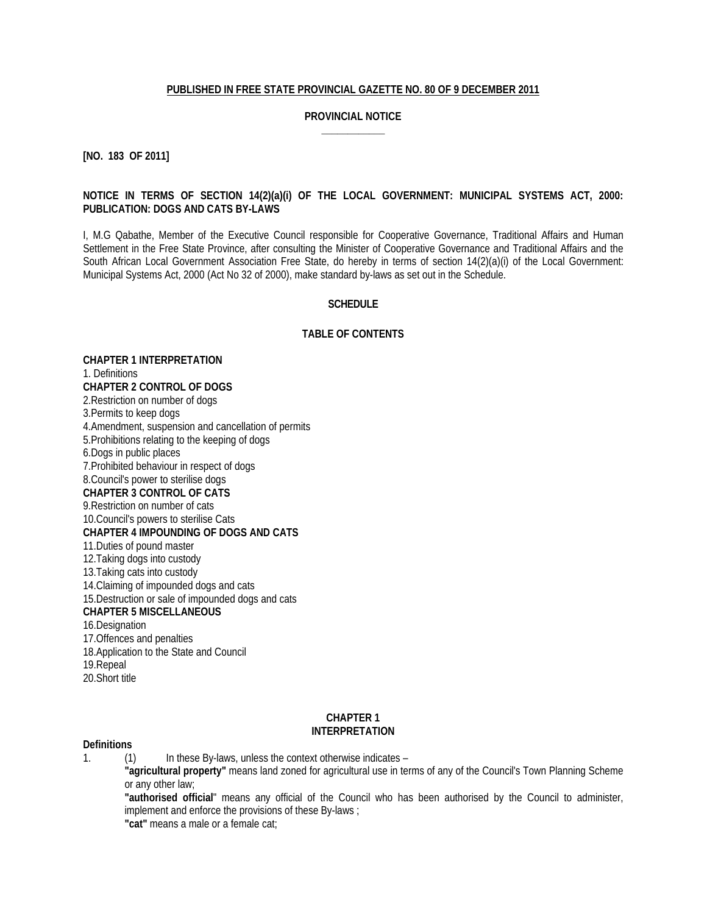#### **PUBLISHED IN FREE STATE PROVINCIAL GAZETTE NO. 80 OF 9 DECEMBER 2011**

#### **PROVINCIAL NOTICE \_\_\_\_\_\_\_\_\_\_\_\_**

**[NO. 183 OF 2011]**

#### **NOTICE IN TERMS OF SECTION 14(2)(a)(i) OF THE LOCAL GOVERNMENT: MUNICIPAL SYSTEMS ACT, 2000: PUBLICATION: DOGS AND CATS BY-LAWS**

I, M.G Qabathe, Member of the Executive Council responsible for Cooperative Governance, Traditional Affairs and Human Settlement in the Free State Province, after consulting the Minister of Cooperative Governance and Traditional Affairs and the South African Local Government Association Free State, do hereby in terms of section 14(2)(a)(i) of the Local Government: Municipal Systems Act, 2000 (Act No 32 of 2000), make standard by-laws as set out in the Schedule.

#### **SCHEDULE**

### **TABLE OF CONTENTS**

**CHAPTER 1 INTERPRETATION** 1. Definitions **CHAPTER 2 CONTROL OF DOGS** 2.Restriction on number of dogs 3.Permits to keep dogs 4.Amendment, suspension and cancellation of permits 5.Prohibitions relating to the keeping of dogs 6.Dogs in public places 7.Prohibited behaviour in respect of dogs 8.Council's power to sterilise dogs **CHAPTER 3 CONTROL OF CATS** 9.Restriction on number of cats 10.Council's powers to sterilise Cats **CHAPTER 4 IMPOUNDING OF DOGS AND CATS** 11.Duties of pound master 12.Taking dogs into custody 13.Taking cats into custody 14.Claiming of impounded dogs and cats 15.Destruction or sale of impounded dogs and cats **CHAPTER 5 MISCELLANEOUS** 16.Designation 17.Offences and penalties 18.Application to the State and Council 19.Repeal 20.Short title

### **CHAPTER 1 INTERPRETATION**

#### **Definitions**

1. (1) In these By-laws, unless the context otherwise indicates –

**"agricultural property"** means land zoned for agricultural use in terms of any of the Council's Town Planning Scheme or any other law;

**"authorised official**" means any official of the Council who has been authorised by the Council to administer, implement and enforce the provisions of these By-laws ;

**"cat"** means a male or a female cat;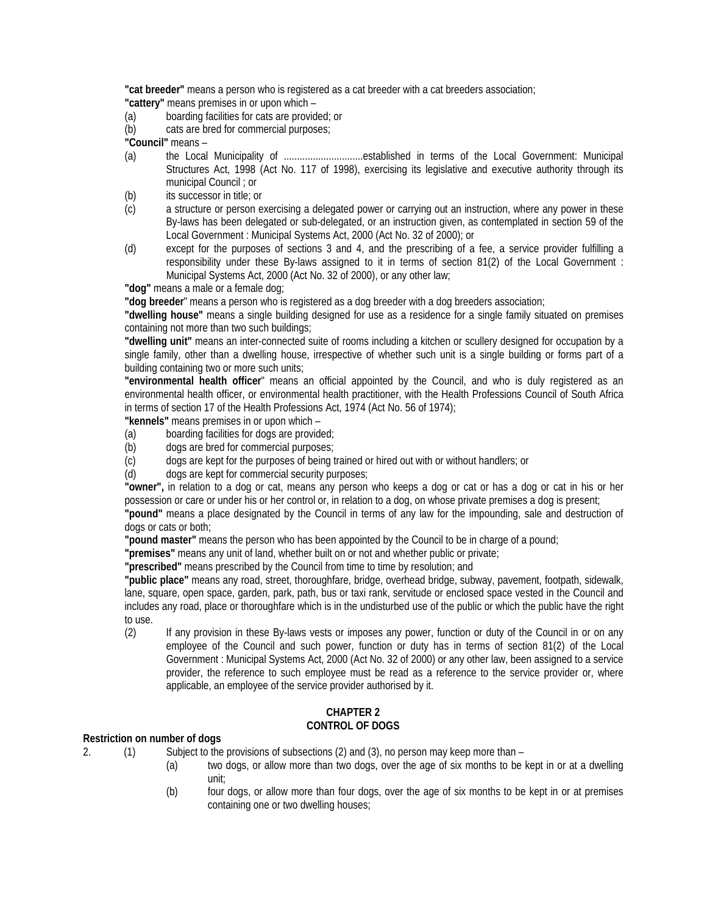**"cat breeder"** means a person who is registered as a cat breeder with a cat breeders association; **"cattery"** means premises in or upon which –

- (a) boarding facilities for cats are provided; or
- (b) cats are bred for commercial purposes;

**"Council"** means –

- (a) the Local Municipality of ..............................established in terms of the Local Government: Municipal Structures Act, 1998 (Act No. 117 of 1998), exercising its legislative and executive authority through its municipal Council ; or
- (b) its successor in title; or
- (c) a structure or person exercising a delegated power or carrying out an instruction, where any power in these By-laws has been delegated or sub-delegated, or an instruction given, as contemplated in section 59 of the Local Government : Municipal Systems Act, 2000 (Act No. 32 of 2000); or
- (d) except for the purposes of sections 3 and 4, and the prescribing of a fee, a service provider fulfilling a responsibility under these By-laws assigned to it in terms of section 81(2) of the Local Government : Municipal Systems Act, 2000 (Act No. 32 of 2000), or any other law;

**"dog"** means a male or a female dog;

**"dog breeder**" means a person who is registered as a dog breeder with a dog breeders association;

**"dwelling house"** means a single building designed for use as a residence for a single family situated on premises containing not more than two such buildings;

**"dwelling unit"** means an inter-connected suite of rooms including a kitchen or scullery designed for occupation by a single family, other than a dwelling house, irrespective of whether such unit is a single building or forms part of a building containing two or more such units;

**"environmental health officer**" means an official appointed by the Council, and who is duly registered as an environmental health officer, or environmental health practitioner, with the Health Professions Council of South Africa in terms of section 17 of the Health Professions Act, 1974 (Act No. 56 of 1974);

**"kennels"** means premises in or upon which –

- (a) boarding facilities for dogs are provided;
- (b) dogs are bred for commercial purposes;
- (c) dogs are kept for the purposes of being trained or hired out with or without handlers; or
- (d) dogs are kept for commercial security purposes;

**"owner",** in relation to a dog or cat, means any person who keeps a dog or cat or has a dog or cat in his or her possession or care or under his or her control or, in relation to a dog, on whose private premises a dog is present;

**"pound"** means a place designated by the Council in terms of any law for the impounding, sale and destruction of dogs or cats or both;

**"pound master"** means the person who has been appointed by the Council to be in charge of a pound;

**"premises"** means any unit of land, whether built on or not and whether public or private;

**"prescribed"** means prescribed by the Council from time to time by resolution; and

**"public place"** means any road, street, thoroughfare, bridge, overhead bridge, subway, pavement, footpath, sidewalk, lane, square, open space, garden, park, path, bus or taxi rank, servitude or enclosed space vested in the Council and includes any road, place or thoroughfare which is in the undisturbed use of the public or which the public have the right to use.

(2) If any provision in these By-laws vests or imposes any power, function or duty of the Council in or on any employee of the Council and such power, function or duty has in terms of section 81(2) of the Local Government : Municipal Systems Act, 2000 (Act No. 32 of 2000) or any other law, been assigned to a service provider, the reference to such employee must be read as a reference to the service provider or, where applicable, an employee of the service provider authorised by it.

## **CHAPTER 2 CONTROL OF DOGS**

### **Restriction on number of dogs**

- 2. (1) Subject to the provisions of subsections (2) and (3), no person may keep more than
	- (a) two dogs, or allow more than two dogs, over the age of six months to be kept in or at a dwelling unit;
	- (b) four dogs, or allow more than four dogs, over the age of six months to be kept in or at premises containing one or two dwelling houses;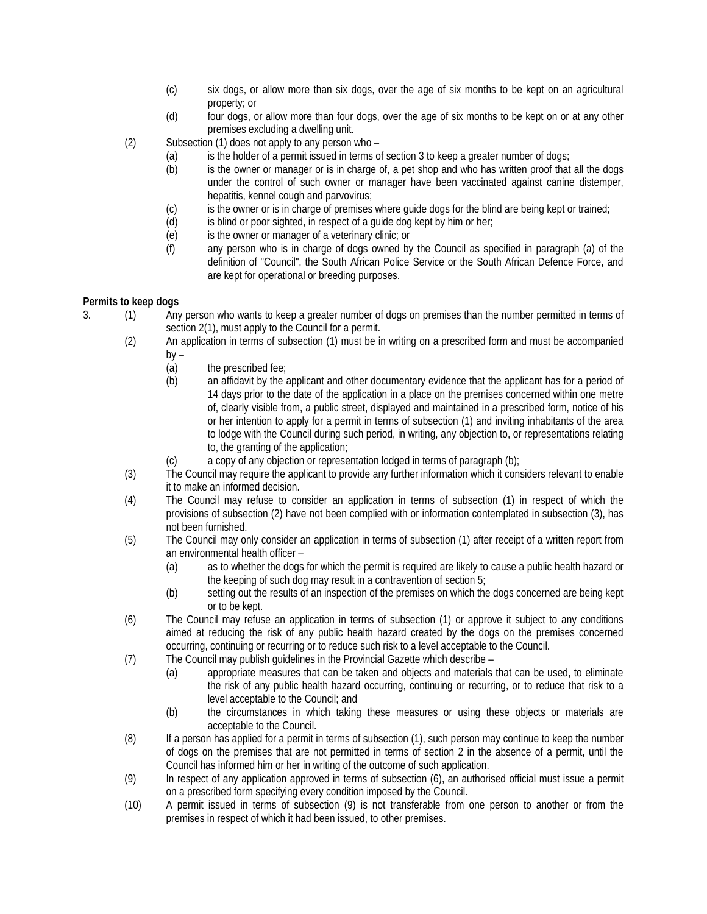- (c) six dogs, or allow more than six dogs, over the age of six months to be kept on an agricultural property; or
- (d) four dogs, or allow more than four dogs, over the age of six months to be kept on or at any other premises excluding a dwelling unit.
- (2) Subsection (1) does not apply to any person who
	- (a) is the holder of a permit issued in terms of section 3 to keep a greater number of dogs;
	- (b) is the owner or manager or is in charge of, a pet shop and who has written proof that all the dogs under the control of such owner or manager have been vaccinated against canine distemper, hepatitis, kennel cough and parvovirus;
	- (c) is the owner or is in charge of premises where guide dogs for the blind are being kept or trained;<br>(d) is blind or poor sighted, in respect of a quide dog kept by him or her;
	- is blind or poor sighted, in respect of a guide dog kept by him or her;
	- (e) is the owner or manager of a veterinary clinic; or<br>
	(f) any person who is in charge of dogs owned by
	- any person who is in charge of dogs owned by the Council as specified in paragraph (a) of the definition of "Council", the South African Police Service or the South African Defence Force, and are kept for operational or breeding purposes.

### **Permits to keep dogs**

- 3. (1) Any person who wants to keep a greater number of dogs on premises than the number permitted in terms of section 2(1), must apply to the Council for a permit.
	- (2) An application in terms of subsection (1) must be in writing on a prescribed form and must be accompanied  $by -$ 
		- (a) the prescribed fee;
		- (b) an affidavit by the applicant and other documentary evidence that the applicant has for a period of 14 days prior to the date of the application in a place on the premises concerned within one metre of, clearly visible from, a public street, displayed and maintained in a prescribed form, notice of his or her intention to apply for a permit in terms of subsection (1) and inviting inhabitants of the area to lodge with the Council during such period, in writing, any objection to, or representations relating to, the granting of the application;
		- (c) a copy of any objection or representation lodged in terms of paragraph (b);
	- (3) The Council may require the applicant to provide any further information which it considers relevant to enable it to make an informed decision.
	- (4) The Council may refuse to consider an application in terms of subsection (1) in respect of which the provisions of subsection (2) have not been complied with or information contemplated in subsection (3), has not been furnished.
	- (5) The Council may only consider an application in terms of subsection (1) after receipt of a written report from an environmental health officer –
		- (a) as to whether the dogs for which the permit is required are likely to cause a public health hazard or the keeping of such dog may result in a contravention of section 5;
		- (b) setting out the results of an inspection of the premises on which the dogs concerned are being kept or to be kept.
	- (6) The Council may refuse an application in terms of subsection (1) or approve it subject to any conditions aimed at reducing the risk of any public health hazard created by the dogs on the premises concerned occurring, continuing or recurring or to reduce such risk to a level acceptable to the Council.
	- (7) The Council may publish guidelines in the Provincial Gazette which describe
		- (a) appropriate measures that can be taken and objects and materials that can be used, to eliminate the risk of any public health hazard occurring, continuing or recurring, or to reduce that risk to a level acceptable to the Council; and
		- (b) the circumstances in which taking these measures or using these objects or materials are acceptable to the Council.
	- (8) If a person has applied for a permit in terms of subsection (1), such person may continue to keep the number of dogs on the premises that are not permitted in terms of section 2 in the absence of a permit, until the Council has informed him or her in writing of the outcome of such application.
	- (9) In respect of any application approved in terms of subsection (6), an authorised official must issue a permit on a prescribed form specifying every condition imposed by the Council.
	- (10) A permit issued in terms of subsection (9) is not transferable from one person to another or from the premises in respect of which it had been issued, to other premises.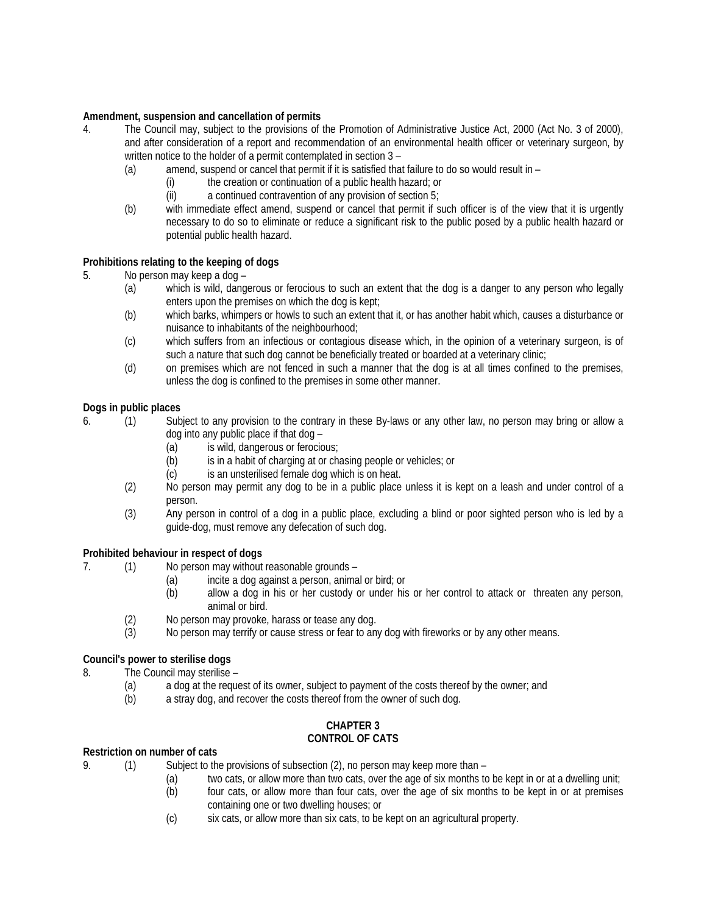## **Amendment, suspension and cancellation of permits**

- 4. The Council may, subject to the provisions of the Promotion of Administrative Justice Act, 2000 (Act No. 3 of 2000), and after consideration of a report and recommendation of an environmental health officer or veterinary surgeon, by written notice to the holder of a permit contemplated in section 3 –
	- (a) amend, suspend or cancel that permit if it is satisfied that failure to do so would result in
		- the creation or continuation of a public health hazard; or
			- (ii) a continued contravention of any provision of section 5;
	- (b) with immediate effect amend, suspend or cancel that permit if such officer is of the view that it is urgently necessary to do so to eliminate or reduce a significant risk to the public posed by a public health hazard or potential public health hazard.

## **Prohibitions relating to the keeping of dogs**

- 5. No person may keep a dog
	- (a) which is wild, dangerous or ferocious to such an extent that the dog is a danger to any person who legally enters upon the premises on which the dog is kept;
	- (b) which barks, whimpers or howls to such an extent that it, or has another habit which, causes a disturbance or nuisance to inhabitants of the neighbourhood;
	- (c) which suffers from an infectious or contagious disease which, in the opinion of a veterinary surgeon, is of such a nature that such dog cannot be beneficially treated or boarded at a veterinary clinic;
	- (d) on premises which are not fenced in such a manner that the dog is at all times confined to the premises, unless the dog is confined to the premises in some other manner.

## **Dogs in public places**

- 6. (1) Subject to any provision to the contrary in these By-laws or any other law, no person may bring or allow a dog into any public place if that dog –
	- (a) is wild, dangerous or ferocious;
	- (b) is in a habit of charging at or chasing people or vehicles; or
	- (c) is an unsterilised female dog which is on heat.
	- (2) No person may permit any dog to be in a public place unless it is kept on a leash and under control of a person.
	- (3) Any person in control of a dog in a public place, excluding a blind or poor sighted person who is led by a guide-dog, must remove any defecation of such dog.

### **Prohibited behaviour in respect of dogs**

- 7. (1) No person may without reasonable grounds
	- (a) incite a dog against a person, animal or bird; or
	- (b) allow a dog in his or her custody or under his or her control to attack or threaten any person, animal or bird.
	- (2) No person may provoke, harass or tease any dog.
	- (3) No person may terrify or cause stress or fear to any dog with fireworks or by any other means.

## **Council's power to sterilise dogs**

- 8. The Council may sterilise
	- (a) a dog at the request of its owner, subject to payment of the costs thereof by the owner; and
	- (b) a stray dog, and recover the costs thereof from the owner of such dog.

#### **CHAPTER 3 CONTROL OF CATS**

### **Restriction on number of cats**

- 9. (1) Subject to the provisions of subsection (2), no person may keep more than
	- (a) two cats, or allow more than two cats, over the age of six months to be kept in or at a dwelling unit;
	- (b) four cats, or allow more than four cats, over the age of six months to be kept in or at premises containing one or two dwelling houses; or
	- (c) six cats, or allow more than six cats, to be kept on an agricultural property.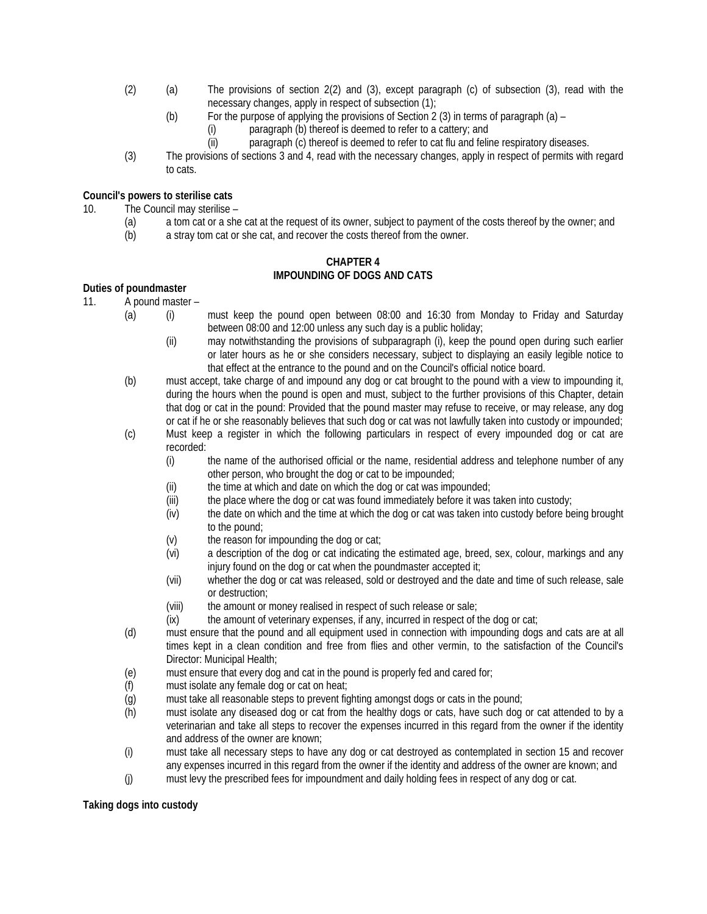- (2) (a) The provisions of section 2(2) and (3), except paragraph (c) of subsection (3), read with the necessary changes, apply in respect of subsection (1);
	- (b) For the purpose of applying the provisions of Section 2 (3) in terms of paragraph (a)
		- (i) paragraph (b) thereof is deemed to refer to a cattery; and
		- (ii) paragraph (c) thereof is deemed to refer to cat flu and feline respiratory diseases.
- (3) The provisions of sections 3 and 4, read with the necessary changes, apply in respect of permits with regard to cats.

# **Council's powers to sterilise cats**

10. The Council may sterilise –

- (a) a tom cat or a she cat at the request of its owner, subject to payment of the costs thereof by the owner; and
- (b) a stray tom cat or she cat, and recover the costs thereof from the owner.

#### **CHAPTER 4 IMPOUNDING OF DOGS AND CATS**

## **Duties of poundmaster**

- 11. A pound master
	- (a) (i) must keep the pound open between 08:00 and 16:30 from Monday to Friday and Saturday between 08:00 and 12:00 unless any such day is a public holiday;
		- (ii) may notwithstanding the provisions of subparagraph (i), keep the pound open during such earlier or later hours as he or she considers necessary, subject to displaying an easily legible notice to that effect at the entrance to the pound and on the Council's official notice board.
	- (b) must accept, take charge of and impound any dog or cat brought to the pound with a view to impounding it, during the hours when the pound is open and must, subject to the further provisions of this Chapter, detain that dog or cat in the pound: Provided that the pound master may refuse to receive, or may release, any dog or cat if he or she reasonably believes that such dog or cat was not lawfully taken into custody or impounded;
	- (c) Must keep a register in which the following particulars in respect of every impounded dog or cat are recorded:
		- (i) the name of the authorised official or the name, residential address and telephone number of any other person, who brought the dog or cat to be impounded;
		- (ii) the time at which and date on which the dog or cat was impounded;
		- (iii) the place where the dog or cat was found immediately before it was taken into custody;
		- (iv) the date on which and the time at which the dog or cat was taken into custody before being brought to the pound;
		- (v) the reason for impounding the dog or cat;
		- (vi) a description of the dog or cat indicating the estimated age, breed, sex, colour, markings and any injury found on the dog or cat when the poundmaster accepted it;
		- (vii) whether the dog or cat was released, sold or destroyed and the date and time of such release, sale or destruction;
		- (viii) the amount or money realised in respect of such release or sale;
		- (ix) the amount of veterinary expenses, if any, incurred in respect of the dog or cat;
	- (d) must ensure that the pound and all equipment used in connection with impounding dogs and cats are at all times kept in a clean condition and free from flies and other vermin, to the satisfaction of the Council's Director: Municipal Health;
	- (e) must ensure that every dog and cat in the pound is properly fed and cared for;
	- (f) must isolate any female dog or cat on heat;
	- (g) must take all reasonable steps to prevent fighting amongst dogs or cats in the pound;<br>(h) must isolate any diseased dog or cat from the healthy dogs or cats, have such dog
	- must isolate any diseased dog or cat from the healthy dogs or cats, have such dog or cat attended to by a veterinarian and take all steps to recover the expenses incurred in this regard from the owner if the identity and address of the owner are known;
	- (i) must take all necessary steps to have any dog or cat destroyed as contemplated in section 15 and recover any expenses incurred in this regard from the owner if the identity and address of the owner are known; and
	- (j) must levy the prescribed fees for impoundment and daily holding fees in respect of any dog or cat.

### **Taking dogs into custody**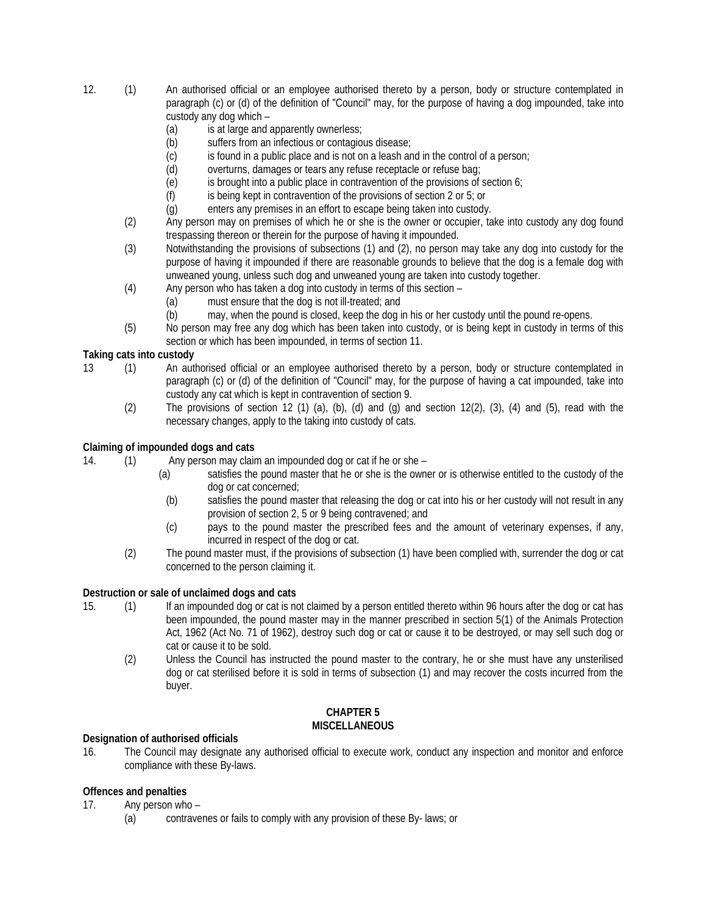- 12. (1) An authorised official or an employee authorised thereto by a person, body or structure contemplated in paragraph (c) or (d) of the definition of "Council" may, for the purpose of having a dog impounded, take into custody any dog which –
	- (a) is at large and apparently ownerless;<br>(b) suffers from an infectious or contagio
	- suffers from an infectious or contagious disease;
	- (c) is found in a public place and is not on a leash and in the control of a person;
	- (d) overturns, damages or tears any refuse receptacle or refuse bag;
	- (e) is brought into a public place in contravention of the provisions of section 6;
	- (f) is being kept in contravention of the provisions of section 2 or 5; or
	- (g) enters any premises in an effort to escape being taken into custody.
	- (2) Any person may on premises of which he or she is the owner or occupier, take into custody any dog found trespassing thereon or therein for the purpose of having it impounded.
	- (3) Notwithstanding the provisions of subsections (1) and (2), no person may take any dog into custody for the purpose of having it impounded if there are reasonable grounds to believe that the dog is a female dog with unweaned young, unless such dog and unweaned young are taken into custody together.
	- (4) Any person who has taken a dog into custody in terms of this section
		- (a) must ensure that the dog is not ill-treated; and
		- (b) may, when the pound is closed, keep the dog in his or her custody until the pound re-opens.
	- (5) No person may free any dog which has been taken into custody, or is being kept in custody in terms of this section or which has been impounded, in terms of section 11.

# **Taking cats into custody**

- 13 (1) An authorised official or an employee authorised thereto by a person, body or structure contemplated in paragraph (c) or (d) of the definition of "Council" may, for the purpose of having a cat impounded, take into custody any cat which is kept in contravention of section 9.
	- (2) The provisions of section 12 (1) (a), (b), (d) and (g) and section 12(2), (3), (4) and (5), read with the necessary changes, apply to the taking into custody of cats.

# **Claiming of impounded dogs and cats**

14. (1) Any person may claim an impounded dog or cat if he or she –

- (a) satisfies the pound master that he or she is the owner or is otherwise entitled to the custody of the dog or cat concerned;
- (b) satisfies the pound master that releasing the dog or cat into his or her custody will not result in any provision of section 2, 5 or 9 being contravened; and
- (c) pays to the pound master the prescribed fees and the amount of veterinary expenses, if any, incurred in respect of the dog or cat.
- (2) The pound master must, if the provisions of subsection (1) have been complied with, surrender the dog or cat concerned to the person claiming it.

## **Destruction or sale of unclaimed dogs and cats**

- 15. (1) If an impounded dog or cat is not claimed by a person entitled thereto within 96 hours after the dog or cat has been impounded, the pound master may in the manner prescribed in section 5(1) of the Animals Protection Act, 1962 (Act No. 71 of 1962), destroy such dog or cat or cause it to be destroyed, or may sell such dog or cat or cause it to be sold.
	- (2) Unless the Council has instructed the pound master to the contrary, he or she must have any unsterilised dog or cat sterilised before it is sold in terms of subsection (1) and may recover the costs incurred from the buyer.

### **CHAPTER 5 MISCELLANEOUS**

## **Designation of authorised officials**

16. The Council may designate any authorised official to execute work, conduct any inspection and monitor and enforce compliance with these By-laws.

# **Offences and penalties**

17. Any person who –

(a) contravenes or fails to comply with any provision of these By- laws; or